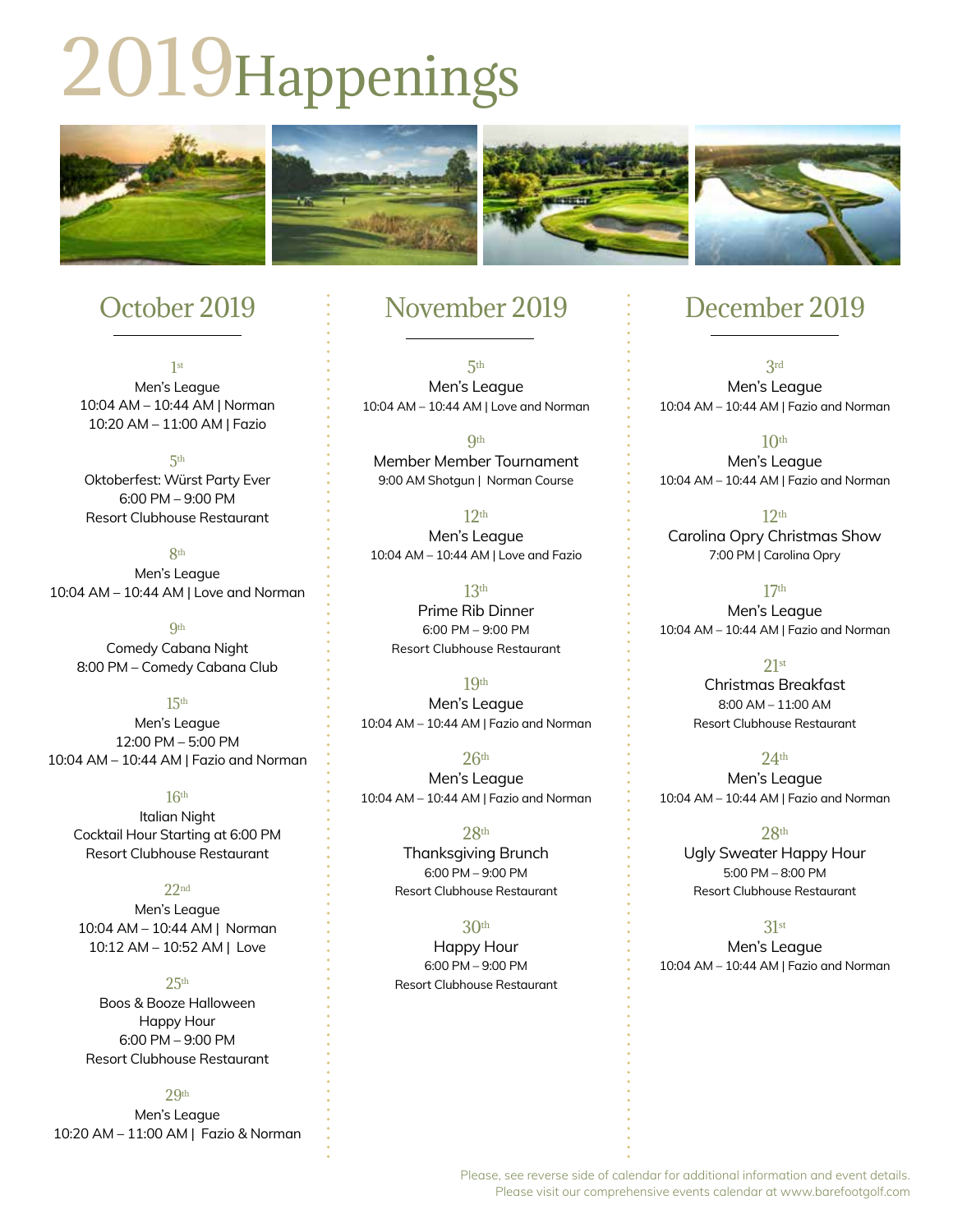# 2019Happenings



# October 2019

1st Men's League 10:04 AM – 10:44 AM | Norman 10:20 AM – 11:00 AM | Fazio

5th Oktoberfest: Würst Party Ever 6:00 PM – 9:00 PM Resort Clubhouse Restaurant

**Rth** Men's League 10:04 AM – 10:44 AM | Love and Norman

**Qth** Comedy Cabana Night 8:00 PM – Comedy Cabana Club

15th Men's League 12:00 PM – 5:00 PM 10:04 AM – 10:44 AM | Fazio and Norman

 $16<sup>th</sup>$ Italian Night Cocktail Hour Starting at 6:00 PM Resort Clubhouse Restaurant

 $22<sub>nd</sub>$ Men's League 10:04 AM – 10:44 AM | Norman 10:12 AM – 10:52 AM | Love

 $25th$ Boos & Booze Halloween Happy Hour 6:00 PM – 9:00 PM Resort Clubhouse Restaurant

29th Men's League 10:20 AM – 11:00 AM | Fazio & Norman

### November 2019

5th Men's League 10:04 AM – 10:44 AM | Love and Norman

**Qth** Member Member Tournament 9:00 AM Shotgun | Norman Course

 $12<sup>th</sup>$ Men's League 10:04 AM – 10:44 AM | Love and Fazio

> 13th Prime Rib Dinner 6:00 PM – 9:00 PM Resort Clubhouse Restaurant

19th Men's League 10:04 AM – 10:44 AM | Fazio and Norman

 $26<sup>th</sup>$ Men's League 10:04 AM – 10:44 AM | Fazio and Norman

> $28<sub>th</sub>$ Thanksgiving Brunch 6:00 PM – 9:00 PM Resort Clubhouse Restaurant

> 30th Happy Hour 6:00 PM – 9:00 PM Resort Clubhouse Restaurant

## December 2019

3rd Men's League 10:04 AM – 10:44 AM | Fazio and Norman

 $10<sup>th</sup>$ Men's League 10:04 AM – 10:44 AM | Fazio and Norman

 $12<sup>th</sup>$ Carolina Opry Christmas Show 7:00 PM | Carolina Opry

 $17<sup>th</sup>$ Men's League 10:04 AM – 10:44 AM | Fazio and Norman

> $21st$ Christmas Breakfast 8:00 AM – 11:00 AM Resort Clubhouse Restaurant

24th Men's League 10:04 AM – 10:44 AM | Fazio and Norman

 $28<sup>th</sup>$ Ugly Sweater Happy Hour 5:00 PM – 8:00 PM Resort Clubhouse Restaurant

31st

Men's League 10:04 AM – 10:44 AM | Fazio and Norman